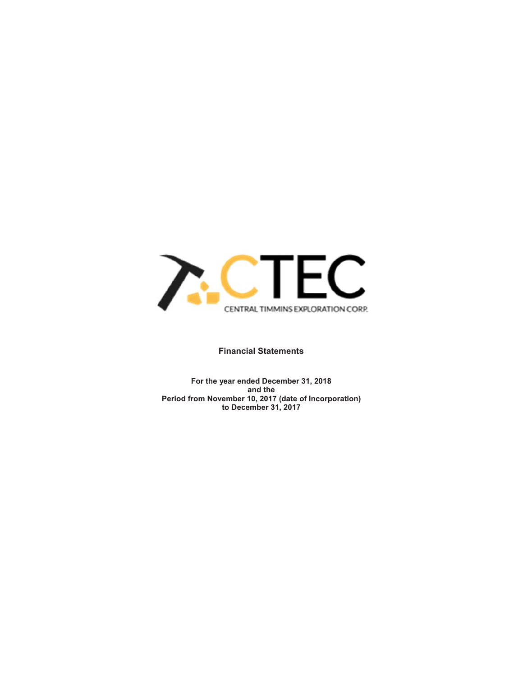

# **Financial Statements**

**For the year ended December 31, 2018 and the Period from November 10, 2017 (date of Incorporation) to December 31, 2017**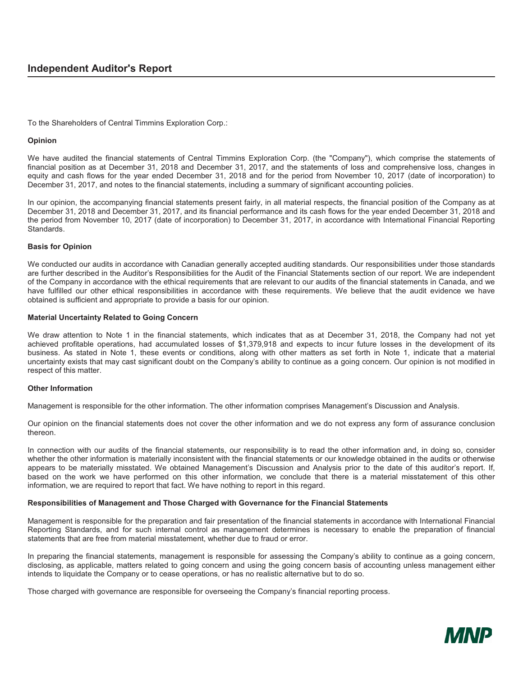To the Shareholders of Central Timmins Exploration Corp.:

### **Opinion**

We have audited the financial statements of Central Timmins Exploration Corp. (the "Company"), which comprise the statements of financial position as at December 31, 2018 and December 31, 2017, and the statements of loss and comprehensive loss, changes in equity and cash flows for the year ended December 31, 2018 and for the period from November 10, 2017 (date of incorporation) to December 31, 2017, and notes to the financial statements, including a summary of significant accounting policies.

In our opinion, the accompanying financial statements present fairly, in all material respects, the financial position of the Company as at December 31, 2018 and December 31, 2017, and its financial performance and its cash flows for the year ended December 31, 2018 and the period from November 10, 2017 (date of incorporation) to December 31, 2017, in accordance with International Financial Reporting **Standards** 

### **Basis for Opinion**

We conducted our audits in accordance with Canadian generally accepted auditing standards. Our responsibilities under those standards are further described in the Auditor's Responsibilities for the Audit of the Financial Statements section of our report. We are independent of the Company in accordance with the ethical requirements that are relevant to our audits of the financial statements in Canada, and we have fulfilled our other ethical responsibilities in accordance with these requirements. We believe that the audit evidence we have obtained is sufficient and appropriate to provide a basis for our opinion.

#### **Material Uncertainty Related to Going Concern**

We draw attention to Note 1 in the financial statements, which indicates that as at December 31, 2018, the Company had not yet achieved profitable operations, had accumulated losses of \$1,379,918 and expects to incur future losses in the development of its business. As stated in Note 1, these events or conditions, along with other matters as set forth in Note 1, indicate that a material uncertainty exists that may cast significant doubt on the Company's ability to continue as a going concern. Our opinion is not modified in respect of this matter.

### **Other Information**

Management is responsible for the other information. The other information comprises Management's Discussion and Analysis.

Our opinion on the financial statements does not cover the other information and we do not express any form of assurance conclusion thereon.

In connection with our audits of the financial statements, our responsibility is to read the other information and, in doing so, consider whether the other information is materially inconsistent with the financial statements or our knowledge obtained in the audits or otherwise appears to be materially misstated. We obtained Management's Discussion and Analysis prior to the date of this auditor's report. If, based on the work we have performed on this other information, we conclude that there is a material misstatement of this other information, we are required to report that fact. We have nothing to report in this regard.

## **Responsibilities of Management and Those Charged with Governance for the Financial Statements**

Management is responsible for the preparation and fair presentation of the financial statements in accordance with International Financial Reporting Standards, and for such internal control as management determines is necessary to enable the preparation of financial statements that are free from material misstatement, whether due to fraud or error.

In preparing the financial statements, management is responsible for assessing the Company's ability to continue as a going concern, disclosing, as applicable, matters related to going concern and using the going concern basis of accounting unless management either intends to liquidate the Company or to cease operations, or has no realistic alternative but to do so.

Those charged with governance are responsible for overseeing the Company's financial reporting process.

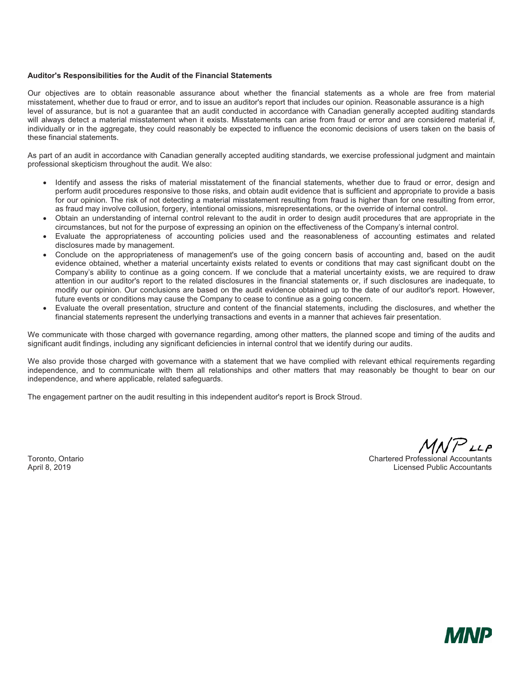## **Auditor's Responsibilities for the Audit of the Financial Statements**

Our objectives are to obtain reasonable assurance about whether the financial statements as a whole are free from material misstatement, whether due to fraud or error, and to issue an auditor's report that includes our opinion. Reasonable assurance is a high level of assurance, but is not a guarantee that an audit conducted in accordance with Canadian generally accepted auditing standards will always detect a material misstatement when it exists. Misstatements can arise from fraud or error and are considered material if, individually or in the aggregate, they could reasonably be expected to influence the economic decisions of users taken on the basis of these financial statements.

As part of an audit in accordance with Canadian generally accepted auditing standards, we exercise professional judgment and maintain professional skepticism throughout the audit. We also:

- Identify and assess the risks of material misstatement of the financial statements, whether due to fraud or error, design and perform audit procedures responsive to those risks, and obtain audit evidence that is sufficient and appropriate to provide a basis for our opinion. The risk of not detecting a material misstatement resulting from fraud is higher than for one resulting from error, as fraud may involve collusion, forgery, intentional omissions, misrepresentations, or the override of internal control.
- Obtain an understanding of internal control relevant to the audit in order to design audit procedures that are appropriate in the circumstances, but not for the purpose of expressing an opinion on the effectiveness of the Company's internal control.
- Evaluate the appropriateness of accounting policies used and the reasonableness of accounting estimates and related disclosures made by management.
- Conclude on the appropriateness of management's use of the going concern basis of accounting and, based on the audit evidence obtained, whether a material uncertainty exists related to events or conditions that may cast significant doubt on the Company's ability to continue as a going concern. If we conclude that a material uncertainty exists, we are required to draw attention in our auditor's report to the related disclosures in the financial statements or, if such disclosures are inadequate, to modify our opinion. Our conclusions are based on the audit evidence obtained up to the date of our auditor's report. However, future events or conditions may cause the Company to cease to continue as a going concern.
- x Evaluate the overall presentation, structure and content of the financial statements, including the disclosures, and whether the financial statements represent the underlying transactions and events in a manner that achieves fair presentation.

We communicate with those charged with governance regarding, among other matters, the planned scope and timing of the audits and significant audit findings, including any significant deficiencies in internal control that we identify during our audits.

We also provide those charged with governance with a statement that we have complied with relevant ethical requirements regarding independence, and to communicate with them all relationships and other matters that may reasonably be thought to bear on our independence, and where applicable, related safeguards.

The engagement partner on the audit resulting in this independent auditor's report is Brock Stroud.

 $MINPLP$ 

Toronto, Ontario Chartered Professional Accountants **Licensed Public Accountants** 

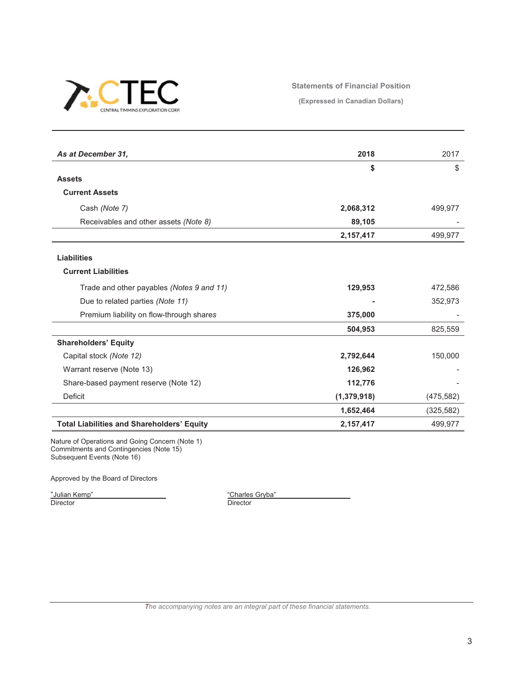

### **Statements of Financial Position**

**(Expressed in Canadian Dollars)** 

| As at December 31.                                | 2018        | 2017       |
|---------------------------------------------------|-------------|------------|
|                                                   | \$          | \$         |
| <b>Assets</b>                                     |             |            |
| <b>Current Assets</b>                             |             |            |
| Cash (Note 7)                                     | 2,068,312   | 499,977    |
| Receivables and other assets (Note 8)             | 89,105      |            |
|                                                   | 2,157,417   | 499,977    |
| <b>Liabilities</b>                                |             |            |
| <b>Current Liabilities</b>                        |             |            |
| Trade and other payables (Notes 9 and 11)         | 129,953     | 472,586    |
| Due to related parties (Note 11)                  |             | 352,973    |
| Premium liability on flow-through shares          | 375,000     |            |
|                                                   | 504,953     | 825,559    |
| <b>Shareholders' Equity</b>                       |             |            |
| Capital stock (Note 12)                           | 2,792,644   | 150,000    |
| Warrant reserve (Note 13)                         | 126,962     |            |
| Share-based payment reserve (Note 12)             | 112,776     |            |
| Deficit                                           | (1,379,918) | (475, 582) |
|                                                   | 1,652,464   | (325, 582) |
| <b>Total Liabilities and Shareholders' Equity</b> | 2,157,417   | 499,977    |

Nature of Operations and Going Concern (Note 1) Commitments and Contingencies (Note 15) Subsequent Events (Note 16)

Approved by the Board of Directors

"Julian Kemp"<br>Director

"Charles Gryba"<br>Director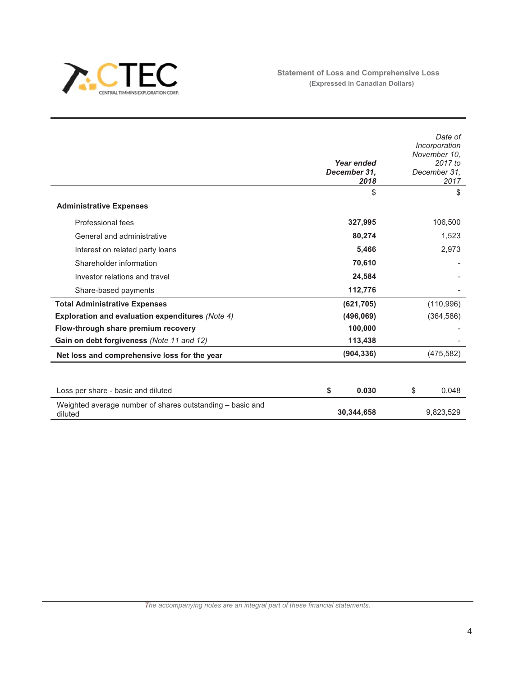

|                                                                      | Year ended<br>December 31.<br>2018 | Date of<br>Incorporation<br>November 10,<br>2017 to<br>December 31.<br>2017 |
|----------------------------------------------------------------------|------------------------------------|-----------------------------------------------------------------------------|
|                                                                      | \$                                 | \$                                                                          |
| <b>Administrative Expenses</b>                                       |                                    |                                                                             |
| Professional fees                                                    | 327,995                            | 106,500                                                                     |
| General and administrative                                           | 80,274                             | 1,523                                                                       |
| Interest on related party loans                                      | 5,466                              | 2,973                                                                       |
| Shareholder information                                              | 70,610                             |                                                                             |
| Investor relations and travel                                        | 24,584                             |                                                                             |
| Share-based payments                                                 | 112,776                            |                                                                             |
| <b>Total Administrative Expenses</b>                                 | (621, 705)                         | (110, 996)                                                                  |
| <b>Exploration and evaluation expenditures (Note 4)</b>              | (496,069)                          | (364, 586)                                                                  |
| Flow-through share premium recovery                                  | 100,000                            |                                                                             |
| Gain on debt forgiveness (Note 11 and 12)                            | 113,438                            |                                                                             |
| Net loss and comprehensive loss for the year                         | (904, 336)                         | (475, 582)                                                                  |
|                                                                      |                                    |                                                                             |
| Loss per share - basic and diluted                                   | \$<br>0.030                        | \$<br>0.048                                                                 |
| Weighted average number of shares outstanding – basic and<br>diluted | 30,344,658                         | 9,823,529                                                                   |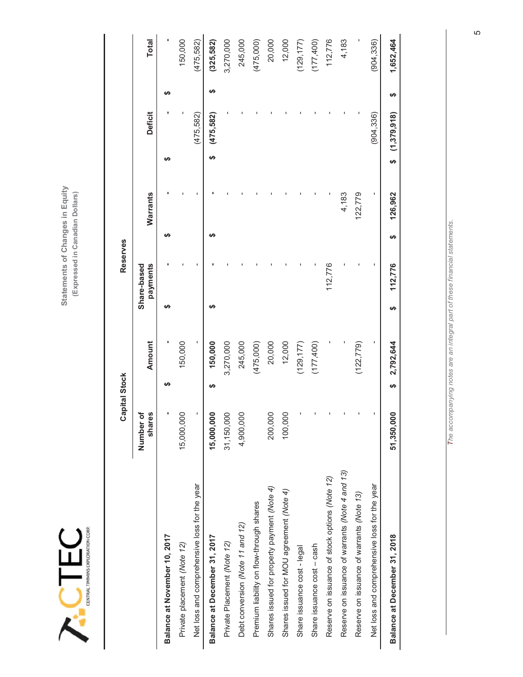

**Statements of Changes in Equity**<br>(Expressed in Canadian Dollars) **Statements of Changes in Equity (Expressed in Canadian Dollars)** 

|                                                 |                    | <b>Capital Stock</b> |                         | Reserves |          |    |               |    |              |
|-------------------------------------------------|--------------------|----------------------|-------------------------|----------|----------|----|---------------|----|--------------|
|                                                 | shares<br>Number o | Amount               | payments<br>Share-based |          | Warrants |    | Deficit       |    | <b>Total</b> |
| Balance at November 10, 2017                    |                    | ക                    | ക                       | £۵       |          | ക  |               | £۵ |              |
| Private placement (Note 12)                     | 15,000,000         | 150,000              |                         |          |          |    |               |    | 150,000      |
| Net loss and comprehensive loss for the year    |                    |                      |                         |          |          |    | (475, 582)    |    | (475, 582)   |
| Balance at December 31, 2017                    | 15,000,000         | 150,000<br>ക         | ക                       | ക        |          | မာ | (475, 582)    | ക  | (325, 582)   |
| Private Placement (Note 12)                     | 31,150,000         | 3,270,000            |                         |          |          |    |               |    | 3,270,000    |
| Debt conversion (Note 11 and 12)                | 4,900,000          | 245,000              |                         |          |          |    |               |    | 245,000      |
| Premium liability on flow-through shares        |                    | (475,000)            |                         |          |          |    |               |    | (475,000)    |
| Shares issued for property payment (Note 4)     | 200,000            | 20,000               |                         |          |          |    |               |    | 20,000       |
| Shares issued for MOU agreement (Note 4)        | 100,000            | 12,000               |                         |          |          |    |               |    | 12,000       |
| Share issuance cost - legal                     |                    | (129, 177)           |                         |          |          |    |               |    | (129, 177)   |
| Share issuance cost - cash                      |                    | (177, 400)           |                         |          |          |    |               |    | (177, 400)   |
| Reserve on issuance of stock options (Note 12)  |                    |                      | 112,776                 |          |          |    |               |    | 112,776      |
| Reserve on issuance of warrants (Note 4 and 13) |                    |                      |                         |          | 4,183    |    |               |    | 4,183        |
| Reserve on issuance of warrants (Note 13)       |                    | (122, 779)           |                         |          | 122,779  |    |               |    |              |
| Net loss and comprehensive loss for the year    |                    |                      |                         |          |          |    | (904, 336)    |    | (904, 336)   |
| Balance at December 31, 2018                    | 51,350,000         | 2,792,644<br>မာ      | 112,776<br>ക            | ക        | 126,962  | ₩  | (1, 379, 918) |    | 1,652,464    |

The accompanying notes are an integral part of these financial statements. *The accompanying notes are an integral part of these financial statements.*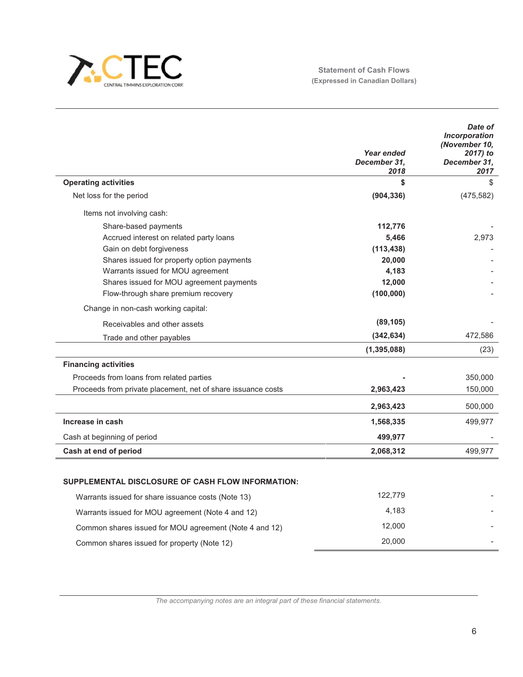

|                                                              | Year ended<br>December 31,<br>2018 | Date of<br>Incorporation<br>(November 10,<br>2017) to<br>December 31,<br>2017 |
|--------------------------------------------------------------|------------------------------------|-------------------------------------------------------------------------------|
| <b>Operating activities</b>                                  | \$                                 | \$                                                                            |
| Net loss for the period                                      | (904, 336)                         | (475, 582)                                                                    |
| Items not involving cash:                                    |                                    |                                                                               |
| Share-based payments                                         | 112,776                            |                                                                               |
| Accrued interest on related party loans                      | 5,466                              | 2,973                                                                         |
| Gain on debt forgiveness                                     | (113, 438)                         |                                                                               |
| Shares issued for property option payments                   | 20,000                             |                                                                               |
| Warrants issued for MOU agreement                            | 4,183                              |                                                                               |
| Shares issued for MOU agreement payments                     | 12,000                             |                                                                               |
| Flow-through share premium recovery                          | (100,000)                          |                                                                               |
| Change in non-cash working capital:                          |                                    |                                                                               |
| Receivables and other assets                                 | (89, 105)                          |                                                                               |
| Trade and other payables                                     | (342, 634)                         | 472,586                                                                       |
|                                                              | (1, 395, 088)                      | (23)                                                                          |
| <b>Financing activities</b>                                  |                                    |                                                                               |
| Proceeds from loans from related parties                     |                                    | 350,000                                                                       |
| Proceeds from private placement, net of share issuance costs | 2,963,423                          | 150,000                                                                       |
|                                                              | 2,963,423                          | 500,000                                                                       |
| Increase in cash                                             | 1,568,335                          | 499,977                                                                       |
| Cash at beginning of period                                  | 499,977                            |                                                                               |
| Cash at end of period                                        | 2,068,312                          | 499,977                                                                       |
| SUPPLEMENTAL DISCLOSURE OF CASH FLOW INFORMATION:            |                                    |                                                                               |
| Warrants issued for share issuance costs (Note 13)           | 122,779                            |                                                                               |
| Warrants issued for MOU agreement (Note 4 and 12)            | 4,183                              |                                                                               |
| Common shares issued for MOU agreement (Note 4 and 12)       | 12,000                             |                                                                               |
| Common shares issued for property (Note 12)                  | 20,000                             |                                                                               |

*The accompanying notes are an integral part of these financial statements.*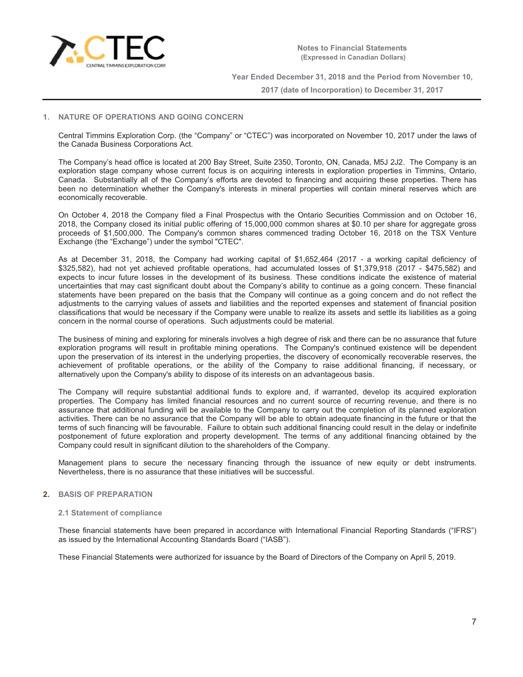

**2017 (date of Incorporation) to December 31, 2017**

### **1. NATURE OF OPERATIONS AND GOING CONCERN**

Central Timmins Exploration Corp. (the "Company" or "CTEC") was incorporated on November 10, 2017 under the laws of the Canada Business Corporations Act.

The Company's head office is located at 200 Bay Street, Suite 2350, Toronto, ON, Canada, M5J 2J2. The Company is an exploration stage company whose current focus is on acquiring interests in exploration properties in Timmins, Ontario, Canada. Substantially all of the Company's efforts are devoted to financing and acquiring these properties. There has been no determination whether the Company's interests in mineral properties will contain mineral reserves which are economically recoverable.

On October 4, 2018 the Company filed a Final Prospectus with the Ontario Securities Commission and on October 16, 2018, the Company closed its initial public offering of 15,000,000 common shares at \$0.10 per share for aggregate gross proceeds of \$1,500,000. The Company's common shares commenced trading October 16, 2018 on the TSX Venture Exchange (the "Exchange") under the symbol "CTEC".

As at December 31, 2018, the Company had working capital of \$1,652,464 (2017 - a working capital deficiency of \$325,582), had not yet achieved profitable operations, had accumulated losses of \$1,379,918 (2017 - \$475,582) and expects to incur future losses in the development of its business. These conditions indicate the existence of material uncertainties that may cast significant doubt about the Company's ability to continue as a going concern. These financial statements have been prepared on the basis that the Company will continue as a going concern and do not reflect the adjustments to the carrying values of assets and liabilities and the reported expenses and statement of financial position classifications that would be necessary if the Company were unable to realize its assets and settle its liabilities as a going concern in the normal course of operations. Such adjustments could be material.

The business of mining and exploring for minerals involves a high degree of risk and there can be no assurance that future exploration programs will result in profitable mining operations. The Company's continued existence will be dependent upon the preservation of its interest in the underlying properties, the discovery of economically recoverable reserves, the achievement of profitable operations, or the ability of the Company to raise additional financing, if necessary, or alternatively upon the Company's ability to dispose of its interests on an advantageous basis.

The Company will require substantial additional funds to explore and, if warranted, develop its acquired exploration properties. The Company has limited financial resources and no current source of recurring revenue, and there is no assurance that additional funding will be available to the Company to carry out the completion of its planned exploration activities. There can be no assurance that the Company will be able to obtain adequate financing in the future or that the terms of such financing will be favourable. Failure to obtain such additional financing could result in the delay or indefinite postponement of future exploration and property development. The terms of any additional financing obtained by the Company could result in significant dilution to the shareholders of the Company.

Management plans to secure the necessary financing through the issuance of new equity or debt instruments. Nevertheless, there is no assurance that these initiatives will be successful.

## **2. BASIS OF PREPARATION**

#### **2.1 Statement of compliance**

These financial statements have been prepared in accordance with International Financial Reporting Standards ("IFRS") as issued by the International Accounting Standards Board ("IASB").

These Financial Statements were authorized for issuance by the Board of Directors of the Company on April 5, 2019.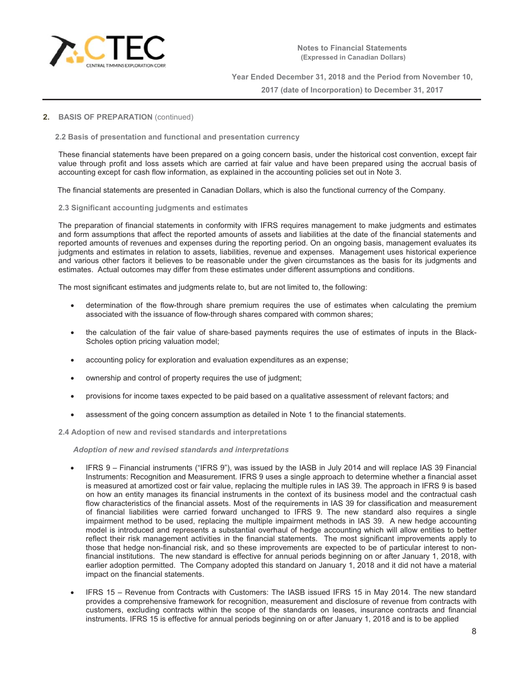

**2017 (date of Incorporation) to December 31, 2017**

## 2. **BASIS OF PREPARATION** (continued)

**2.2 Basis of presentation and functional and presentation currency** 

These financial statements have been prepared on a going concern basis, under the historical cost convention, except fair value through profit and loss assets which are carried at fair value and have been prepared using the accrual basis of accounting except for cash flow information, as explained in the accounting policies set out in Note 3.

The financial statements are presented in Canadian Dollars, which is also the functional currency of the Company.

#### **2.3 Significant accounting judgments and estimates**

The preparation of financial statements in conformity with IFRS requires management to make judgments and estimates and form assumptions that affect the reported amounts of assets and liabilities at the date of the financial statements and reported amounts of revenues and expenses during the reporting period. On an ongoing basis, management evaluates its judgments and estimates in relation to assets, liabilities, revenue and expenses. Management uses historical experience and various other factors it believes to be reasonable under the given circumstances as the basis for its judgments and estimates. Actual outcomes may differ from these estimates under different assumptions and conditions.

The most significant estimates and judgments relate to, but are not limited to, the following:

- determination of the flow-through share premium requires the use of estimates when calculating the premium associated with the issuance of flow-through shares compared with common shares;
- . the calculation of the fair value of share-based payments requires the use of estimates of inputs in the Black-Scholes option pricing valuation model;
- accounting policy for exploration and evaluation expenditures as an expense;
- ownership and control of property requires the use of judgment;
- provisions for income taxes expected to be paid based on a qualitative assessment of relevant factors; and
- assessment of the going concern assumption as detailed in Note 1 to the financial statements.

**2.4 Adoption of new and revised standards and interpretations** 

*Adoption of new and revised standards and interpretations* 

- x IFRS 9 Financial instruments ("IFRS 9"), was issued by the IASB in July 2014 and will replace IAS 39 Financial Instruments: Recognition and Measurement. IFRS 9 uses a single approach to determine whether a financial asset is measured at amortized cost or fair value, replacing the multiple rules in IAS 39. The approach in IFRS 9 is based on how an entity manages its financial instruments in the context of its business model and the contractual cash flow characteristics of the financial assets. Most of the requirements in IAS 39 for classification and measurement of financial liabilities were carried forward unchanged to IFRS 9. The new standard also requires a single impairment method to be used, replacing the multiple impairment methods in IAS 39. A new hedge accounting model is introduced and represents a substantial overhaul of hedge accounting which will allow entities to better reflect their risk management activities in the financial statements. The most significant improvements apply to those that hedge non-financial risk, and so these improvements are expected to be of particular interest to nonfinancial institutions. The new standard is effective for annual periods beginning on or after January 1, 2018, with earlier adoption permitted. The Company adopted this standard on January 1, 2018 and it did not have a material impact on the financial statements.
- IFRS 15 Revenue from Contracts with Customers: The IASB issued IFRS 15 in May 2014. The new standard provides a comprehensive framework for recognition, measurement and disclosure of revenue from contracts with customers, excluding contracts within the scope of the standards on leases, insurance contracts and financial instruments. IFRS 15 is effective for annual periods beginning on or after January 1, 2018 and is to be applied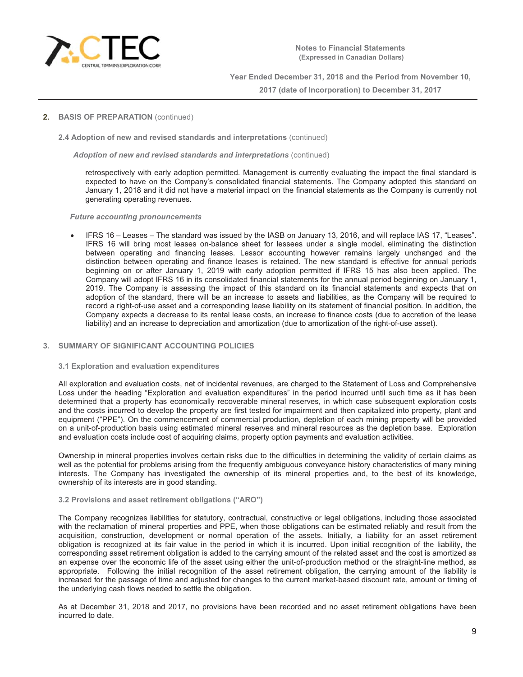

**2017 (date of Incorporation) to December 31, 2017**

## 2. BASIS OF PREPARATION (continued)

**2.4 Adoption of new and revised standards and interpretations** (continued)

Adoption of new and revised standards and interpretations (continued)

retrospectively with early adoption permitted. Management is currently evaluating the impact the final standard is expected to have on the Company's consolidated financial statements. The Company adopted this standard on January 1, 2018 and it did not have a material impact on the financial statements as the Company is currently not generating operating revenues.

*Future accounting pronouncements* 

IFRS 16 – Leases – The standard was issued by the IASB on January 13, 2016, and will replace IAS 17, "Leases". IFRS 16 will bring most leases on-balance sheet for lessees under a single model, eliminating the distinction between operating and financing leases. Lessor accounting however remains largely unchanged and the distinction between operating and finance leases is retained. The new standard is effective for annual periods beginning on or after January 1, 2019 with early adoption permitted if IFRS 15 has also been applied. The Company will adopt IFRS 16 in its consolidated financial statements for the annual period beginning on January 1, 2019. The Company is assessing the impact of this standard on its financial statements and expects that on adoption of the standard, there will be an increase to assets and liabilities, as the Company will be required to record a right-of-use asset and a corresponding lease liability on its statement of financial position. In addition, the Company expects a decrease to its rental lease costs, an increase to finance costs (due to accretion of the lease liability) and an increase to depreciation and amortization (due to amortization of the right-of-use asset).

## **3. SUMMARY OF SIGNIFICANT ACCOUNTING POLICIES**

#### **3.1 Exploration and evaluation expenditures**

All exploration and evaluation costs, net of incidental revenues, are charged to the Statement of Loss and Comprehensive Loss under the heading "Exploration and evaluation expenditures" in the period incurred until such time as it has been determined that a property has economically recoverable mineral reserves, in which case subsequent exploration costs and the costs incurred to develop the property are first tested for impairment and then capitalized into property, plant and equipment ("PPE"). On the commencement of commercial production, depletion of each mining property will be provided on a unit-of-production basis using estimated mineral reserves and mineral resources as the depletion base. Exploration and evaluation costs include cost of acquiring claims, property option payments and evaluation activities.

Ownership in mineral properties involves certain risks due to the difficulties in determining the validity of certain claims as well as the potential for problems arising from the frequently ambiguous conveyance history characteristics of many mining interests. The Company has investigated the ownership of its mineral properties and, to the best of its knowledge, ownership of its interests are in good standing.

#### **3.2 Provisions and asset retirement obligations ("ARO")**

The Company recognizes liabilities for statutory, contractual, constructive or legal obligations, including those associated with the reclamation of mineral properties and PPE, when those obligations can be estimated reliably and result from the acquisition, construction, development or normal operation of the assets. Initially, a liability for an asset retirement obligation is recognized at its fair value in the period in which it is incurred. Upon initial recognition of the liability, the corresponding asset retirement obligation is added to the carrying amount of the related asset and the cost is amortized as an expense over the economic life of the asset using either the unit-of-production method or the straight-line method, as appropriate. Following the initial recognition of the asset retirement obligation, the carrying amount of the liability is increased for the passage of time and adjusted for changes to the current market-based discount rate, amount or timing of the underlying cash flows needed to settle the obligation.

As at December 31, 2018 and 2017, no provisions have been recorded and no asset retirement obligations have been incurred to date.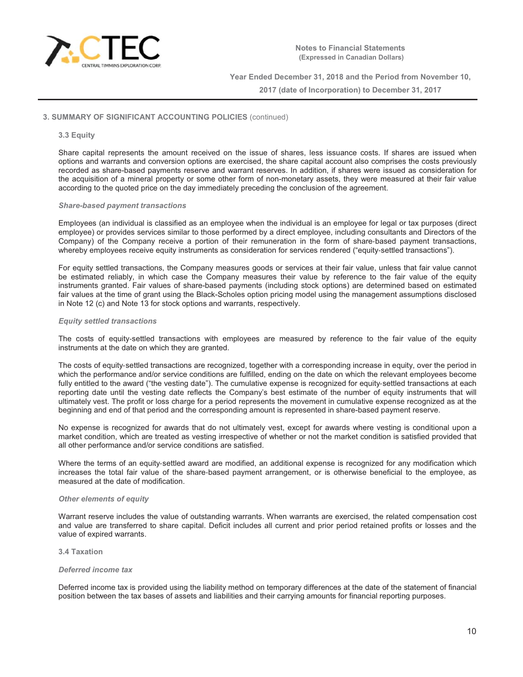

**2017 (date of Incorporation) to December 31, 2017**

### **3. SUMMARY OF SIGNIFICANT ACCOUNTING POLICIES** (continued)

### **3.3 Equity**

Share capital represents the amount received on the issue of shares, less issuance costs. If shares are issued when options and warrants and conversion options are exercised, the share capital account also comprises the costs previously recorded as share-based payments reserve and warrant reserves. In addition, if shares were issued as consideration for the acquisition of a mineral property or some other form of non-monetary assets, they were measured at their fair value according to the quoted price on the day immediately preceding the conclusion of the agreement.

#### *Share-based payment transactions*

Employees (an individual is classified as an employee when the individual is an employee for legal or tax purposes (direct employee) or provides services similar to those performed by a direct employee, including consultants and Directors of the Company) of the Company receive a portion of their remuneration in the form of share-based payment transactions, whereby employees receive equity instruments as consideration for services rendered ("equity-settled transactions").

For equity settled transactions, the Company measures goods or services at their fair value, unless that fair value cannot be estimated reliably, in which case the Company measures their value by reference to the fair value of the equity instruments granted. Fair values of share-based payments (including stock options) are determined based on estimated fair values at the time of grant using the Black-Scholes option pricing model using the management assumptions disclosed in Note 12 (c) and Note 13 for stock options and warrants, respectively.

#### *Equity settled transactions*

The costs of equity-settled transactions with employees are measured by reference to the fair value of the equity instruments at the date on which they are granted.

The costs of equity-settled transactions are recognized, together with a corresponding increase in equity, over the period in which the performance and/or service conditions are fulfilled, ending on the date on which the relevant employees become fully entitled to the award ("the vesting date"). The cumulative expense is recognized for equity-settled transactions at each reporting date until the vesting date reflects the Company's best estimate of the number of equity instruments that will ultimately vest. The profit or loss charge for a period represents the movement in cumulative expense recognized as at the beginning and end of that period and the corresponding amount is represented in share-based payment reserve.

No expense is recognized for awards that do not ultimately vest, except for awards where vesting is conditional upon a market condition, which are treated as vesting irrespective of whether or not the market condition is satisfied provided that all other performance and/or service conditions are satisfied.

Where the terms of an equity-settled award are modified, an additional expense is recognized for any modification which increases the total fair value of the share-based payment arrangement, or is otherwise beneficial to the employee, as measured at the date of modification.

#### *Other elements of equity*

Warrant reserve includes the value of outstanding warrants. When warrants are exercised, the related compensation cost and value are transferred to share capital. Deficit includes all current and prior period retained profits or losses and the value of expired warrants.

### **3.4 Taxation**

## *Deferred income tax*

Deferred income tax is provided using the liability method on temporary differences at the date of the statement of financial position between the tax bases of assets and liabilities and their carrying amounts for financial reporting purposes.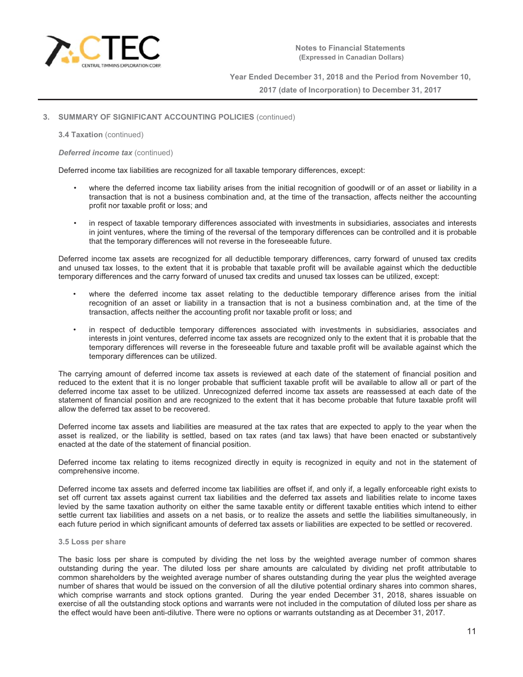

**2017 (date of Incorporation) to December 31, 2017**

#### **3. SUMMARY OF SIGNIFICANT ACCOUNTING POLICIES** (continued)

**3.4 Taxation** (continued)

#### *Deferred income tax (continued)*

Deferred income tax liabilities are recognized for all taxable temporary differences, except:

- where the deferred income tax liability arises from the initial recognition of goodwill or of an asset or liability in a transaction that is not a business combination and, at the time of the transaction, affects neither the accounting profit nor taxable profit or loss; and
- in respect of taxable temporary differences associated with investments in subsidiaries, associates and interests in joint ventures, where the timing of the reversal of the temporary differences can be controlled and it is probable that the temporary differences will not reverse in the foreseeable future.

Deferred income tax assets are recognized for all deductible temporary differences, carry forward of unused tax credits and unused tax losses, to the extent that it is probable that taxable profit will be available against which the deductible temporary differences and the carry forward of unused tax credits and unused tax losses can be utilized, except:

- where the deferred income tax asset relating to the deductible temporary difference arises from the initial recognition of an asset or liability in a transaction that is not a business combination and, at the time of the transaction, affects neither the accounting profit nor taxable profit or loss; and
- in respect of deductible temporary differences associated with investments in subsidiaries, associates and interests in joint ventures, deferred income tax assets are recognized only to the extent that it is probable that the temporary differences will reverse in the foreseeable future and taxable profit will be available against which the temporary differences can be utilized.

The carrying amount of deferred income tax assets is reviewed at each date of the statement of financial position and reduced to the extent that it is no longer probable that sufficient taxable profit will be available to allow all or part of the deferred income tax asset to be utilized. Unrecognized deferred income tax assets are reassessed at each date of the statement of financial position and are recognized to the extent that it has become probable that future taxable profit will allow the deferred tax asset to be recovered.

Deferred income tax assets and liabilities are measured at the tax rates that are expected to apply to the year when the asset is realized, or the liability is settled, based on tax rates (and tax laws) that have been enacted or substantively enacted at the date of the statement of financial position.

Deferred income tax relating to items recognized directly in equity is recognized in equity and not in the statement of comprehensive income.

Deferred income tax assets and deferred income tax liabilities are offset if, and only if, a legally enforceable right exists to set off current tax assets against current tax liabilities and the deferred tax assets and liabilities relate to income taxes levied by the same taxation authority on either the same taxable entity or different taxable entities which intend to either settle current tax liabilities and assets on a net basis, or to realize the assets and settle the liabilities simultaneously, in each future period in which significant amounts of deferred tax assets or liabilities are expected to be settled or recovered.

#### **3.5 Loss per share**

The basic loss per share is computed by dividing the net loss by the weighted average number of common shares outstanding during the year. The diluted loss per share amounts are calculated by dividing net profit attributable to common shareholders by the weighted average number of shares outstanding during the year plus the weighted average number of shares that would be issued on the conversion of all the dilutive potential ordinary shares into common shares, which comprise warrants and stock options granted. During the year ended December 31, 2018, shares issuable on exercise of all the outstanding stock options and warrants were not included in the computation of diluted loss per share as the effect would have been anti-dilutive. There were no options or warrants outstanding as at December 31, 2017.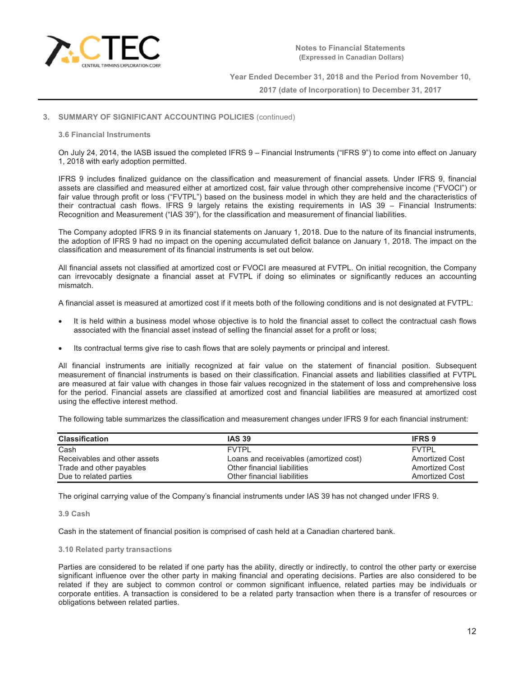

**2017 (date of Incorporation) to December 31, 2017**

### **3. SUMMARY OF SIGNIFICANT ACCOUNTING POLICIES** (continued)

#### **3.6 Financial Instruments**

On July 24, 2014, the IASB issued the completed IFRS 9 – Financial Instruments ("IFRS 9") to come into effect on January 1, 2018 with early adoption permitted.

IFRS 9 includes finalized guidance on the classification and measurement of financial assets. Under IFRS 9, financial assets are classified and measured either at amortized cost, fair value through other comprehensive income ("FVOCI") or fair value through profit or loss ("FVTPL") based on the business model in which they are held and the characteristics of their contractual cash flows. IFRS 9 largely retains the existing requirements in IAS 39 – Financial Instruments: Recognition and Measurement ("IAS 39"), for the classification and measurement of financial liabilities.

The Company adopted IFRS 9 in its financial statements on January 1, 2018. Due to the nature of its financial instruments, the adoption of IFRS 9 had no impact on the opening accumulated deficit balance on January 1, 2018. The impact on the classification and measurement of its financial instruments is set out below.

All financial assets not classified at amortized cost or FVOCI are measured at FVTPL. On initial recognition, the Company can irrevocably designate a financial asset at FVTPL if doing so eliminates or significantly reduces an accounting mismatch.

A financial asset is measured at amortized cost if it meets both of the following conditions and is not designated at FVTPL:

- It is held within a business model whose objective is to hold the financial asset to collect the contractual cash flows associated with the financial asset instead of selling the financial asset for a profit or loss;
- Its contractual terms give rise to cash flows that are solely payments or principal and interest.

All financial instruments are initially recognized at fair value on the statement of financial position. Subsequent measurement of financial instruments is based on their classification. Financial assets and liabilities classified at FVTPL are measured at fair value with changes in those fair values recognized in the statement of loss and comprehensive loss for the period. Financial assets are classified at amortized cost and financial liabilities are measured at amortized cost using the effective interest method.

The following table summarizes the classification and measurement changes under IFRS 9 for each financial instrument:

| <b>Classification</b>        | <b>IAS 39</b>                          | <b>IFRS 9</b>         |
|------------------------------|----------------------------------------|-----------------------|
| Cash                         | <b>FVTPI</b>                           | <b>FVTPI</b>          |
| Receivables and other assets | Loans and receivables (amortized cost) | <b>Amortized Cost</b> |
| Trade and other payables     | Other financial liabilities            | <b>Amortized Cost</b> |
| Due to related parties       | Other financial liabilities            | <b>Amortized Cost</b> |

The original carrying value of the Company's financial instruments under IAS 39 has not changed under IFRS 9.

### **3.9 Cash**

Cash in the statement of financial position is comprised of cash held at a Canadian chartered bank.

## **3.10 Related party transactions**

Parties are considered to be related if one party has the ability, directly or indirectly, to control the other party or exercise significant influence over the other party in making financial and operating decisions. Parties are also considered to be related if they are subject to common control or common significant influence, related parties may be individuals or corporate entities. A transaction is considered to be a related party transaction when there is a transfer of resources or obligations between related parties.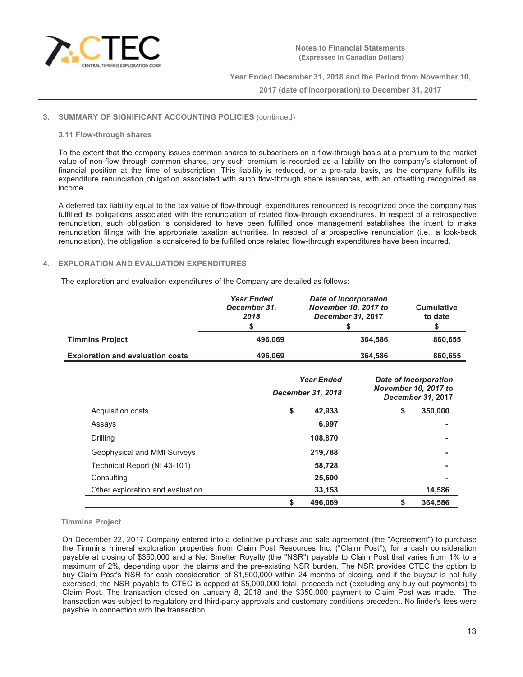

**2017 (date of Incorporation) to December 31, 2017**

### **3. SUMMARY OF SIGNIFICANT ACCOUNTING POLICIES** (continued)

#### **3.11 Flow-through shares**

To the extent that the company issues common shares to subscribers on a flow-through basis at a premium to the market value of non-flow through common shares, any such premium is recorded as a liability on the company's statement of financial position at the time of subscription. This liability is reduced, on a pro-rata basis, as the company fulfills its expenditure renunciation obligation associated with such flow-through share issuances, with an offsetting recognized as income.

A deferred tax liability equal to the tax value of flow-through expenditures renounced is recognized once the company has fulfilled its obligations associated with the renunciation of related flow-through expenditures. In respect of a retrospective renunciation, such obligation is considered to have been fulfilled once management establishes the intent to make renunciation filings with the appropriate taxation authorities. In respect of a prospective renunciation (i.e., a look-back renunciation), the obligation is considered to be fulfilled once related flow-through expenditures have been incurred.

## **4. EXPLORATION AND EVALUATION EXPENDITURES**

The exploration and evaluation expenditures of the Company are detailed as follows:

|                                         | <b>Year Ended</b><br>December 31,<br>2018 | <b>Date of Incorporation</b><br>November 10, 2017 to<br><b>December 31, 2017</b> | <b>Cumulative</b><br>to date |
|-----------------------------------------|-------------------------------------------|----------------------------------------------------------------------------------|------------------------------|
|                                         |                                           |                                                                                  |                              |
| <b>Timmins Project</b>                  | 496.069                                   | 364.586                                                                          | 860,655                      |
| <b>Exploration and evaluation costs</b> | 496.069                                   | 364,586                                                                          | 860,655                      |

|                                  | <b>Year Ended</b><br>December 31, 2018 | <b>Date of Incorporation</b><br>November 10, 2017 to<br><b>December 31, 2017</b> |
|----------------------------------|----------------------------------------|----------------------------------------------------------------------------------|
| Acquisition costs                | \$<br>42,933                           | \$<br>350,000                                                                    |
| Assays                           | 6,997                                  | ۰                                                                                |
| Drilling                         | 108,870                                | ۰                                                                                |
| Geophysical and MMI Surveys      | 219,788                                | ۰                                                                                |
| Technical Report (NI 43-101)     | 58,728                                 | ۰                                                                                |
| Consulting                       | 25,600                                 | ۰                                                                                |
| Other exploration and evaluation | 33,153                                 | 14,586                                                                           |
|                                  | \$<br>496.069                          | \$<br>364.586                                                                    |

**Timmins Project** 

On December 22, 2017 Company entered into a definitive purchase and sale agreement (the "Agreement") to purchase the Timmins mineral exploration properties from Claim Post Resources Inc. ("Claim Post"), for a cash consideration payable at closing of \$350,000 and a Net Smelter Royalty (the "NSR") payable to Claim Post that varies from 1% to a maximum of 2%, depending upon the claims and the pre-existing NSR burden. The NSR provides CTEC the option to buy Claim Post's NSR for cash consideration of \$1,500,000 within 24 months of closing, and if the buyout is not fully exercised, the NSR payable to CTEC is capped at \$5,000,000 total, proceeds net (excluding any buy out payments) to Claim Post. The transaction closed on January 8, 2018 and the \$350,000 payment to Claim Post was made. The transaction was subject to regulatory and third-party approvals and customary conditions precedent. No finder's fees were payable in connection with the transaction.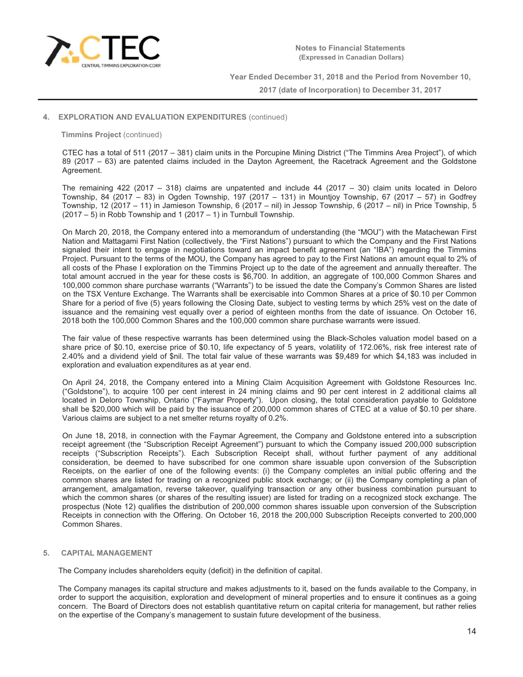

**2017 (date of Incorporation) to December 31, 2017**

### **EXPLORATION AND EVALUATION EXPENDITURES** (continued)

**Timmins Project** (continued)

CTEC has a total of 511 (2017 – 381) claim units in the Porcupine Mining District ("The Timmins Area Project"), of which 89 (2017 – 63) are patented claims included in the Dayton Agreement, the Racetrack Agreement and the Goldstone Agreement.

The remaining 422 (2017 – 318) claims are unpatented and include 44 (2017 – 30) claim units located in Deloro Township, 84 (2017 – 83) in Ogden Township, 197 (2017 – 131) in Mountjoy Township, 67 (2017 – 57) in Godfrey Township, 12 (2017 – 11) in Jamieson Township, 6 (2017 – nil) in Jessop Township, 6 (2017 – nil) in Price Township, 5  $(2017 - 5)$  in Robb Township and 1  $(2017 - 1)$  in Turnbull Township.

On March 20, 2018, the Company entered into a memorandum of understanding (the "MOU") with the Matachewan First Nation and Mattagami First Nation (collectively, the "First Nations") pursuant to which the Company and the First Nations signaled their intent to engage in negotiations toward an impact benefit agreement (an "IBA") regarding the Timmins Project. Pursuant to the terms of the MOU, the Company has agreed to pay to the First Nations an amount equal to 2% of all costs of the Phase I exploration on the Timmins Project up to the date of the agreement and annually thereafter. The total amount accrued in the year for these costs is \$6,700. In addition, an aggregate of 100,000 Common Shares and 100,000 common share purchase warrants ("Warrants") to be issued the date the Company's Common Shares are listed on the TSX Venture Exchange. The Warrants shall be exercisable into Common Shares at a price of \$0.10 per Common Share for a period of five (5) years following the Closing Date, subject to vesting terms by which 25% vest on the date of issuance and the remaining vest equally over a period of eighteen months from the date of issuance. On October 16, 2018 both the 100,000 Common Shares and the 100,000 common share purchase warrants were issued.

The fair value of these respective warrants has been determined using the Black-Scholes valuation model based on a share price of \$0.10, exercise price of \$0.10, life expectancy of 5 years, volatility of 172.06%, risk free interest rate of 2.40% and a dividend yield of \$nil. The total fair value of these warrants was \$9,489 for which \$4,183 was included in exploration and evaluation expenditures as at year end.

On April 24, 2018, the Company entered into a Mining Claim Acquisition Agreement with Goldstone Resources Inc. ("Goldstone"), to acquire 100 per cent interest in 24 mining claims and 90 per cent interest in 2 additional claims all located in Deloro Township, Ontario ("Faymar Property"). Upon closing, the total consideration payable to Goldstone shall be \$20,000 which will be paid by the issuance of 200,000 common shares of CTEC at a value of \$0.10 per share. Various claims are subject to a net smelter returns royalty of 0.2%.

On June 18, 2018, in connection with the Faymar Agreement, the Company and Goldstone entered into a subscription receipt agreement (the "Subscription Receipt Agreement") pursuant to which the Company issued 200,000 subscription receipts ("Subscription Receipts"). Each Subscription Receipt shall, without further payment of any additional consideration, be deemed to have subscribed for one common share issuable upon conversion of the Subscription Receipts, on the earlier of one of the following events: (i) the Company completes an initial public offering and the common shares are listed for trading on a recognized public stock exchange; or (ii) the Company completing a plan of arrangement, amalgamation, reverse takeover, qualifying transaction or any other business combination pursuant to which the common shares (or shares of the resulting issuer) are listed for trading on a recognized stock exchange. The prospectus (Note 12) qualifies the distribution of 200,000 common shares issuable upon conversion of the Subscription Receipts in connection with the Offering. On October 16, 2018 the 200,000 Subscription Receipts converted to 200,000 Common Shares.

## **5. CAPITAL MANAGEMENT**

The Company includes shareholders equity (deficit) in the definition of capital.

The Company manages its capital structure and makes adjustments to it, based on the funds available to the Company, in order to support the acquisition, exploration and development of mineral properties and to ensure it continues as a going concern. The Board of Directors does not establish quantitative return on capital criteria for management, but rather relies on the expertise of the Company's management to sustain future development of the business.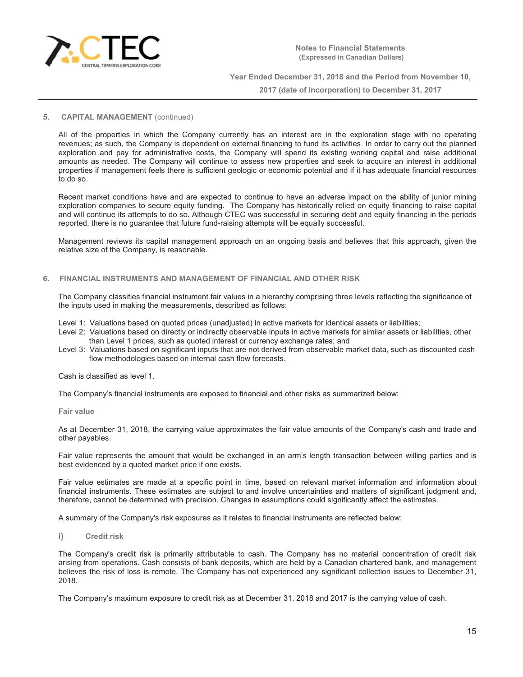

**2017 (date of Incorporation) to December 31, 2017**

### **5. CAPITAL MANAGEMENT** (continued)

All of the properties in which the Company currently has an interest are in the exploration stage with no operating revenues; as such, the Company is dependent on external financing to fund its activities. In order to carry out the planned exploration and pay for administrative costs, the Company will spend its existing working capital and raise additional amounts as needed. The Company will continue to assess new properties and seek to acquire an interest in additional properties if management feels there is sufficient geologic or economic potential and if it has adequate financial resources to do so.

Recent market conditions have and are expected to continue to have an adverse impact on the ability of junior mining exploration companies to secure equity funding. The Company has historically relied on equity financing to raise capital and will continue its attempts to do so. Although CTEC was successful in securing debt and equity financing in the periods reported, there is no guarantee that future fund-raising attempts will be equally successful.

Management reviews its capital management approach on an ongoing basis and believes that this approach, given the relative size of the Company, is reasonable.

## **6. FINANCIAL INSTRUMENTS AND MANAGEMENT OF FINANCIAL AND OTHER RISK**

The Company classifies financial instrument fair values in a hierarchy comprising three levels reflecting the significance of the inputs used in making the measurements, described as follows:

- Level 1: Valuations based on quoted prices (unadiusted) in active markets for identical assets or liabilities;
- Level 2: Valuations based on directly or indirectly observable inputs in active markets for similar assets or liabilities, other than Level 1 prices, such as quoted interest or currency exchange rates; and
- Level 3: Valuations based on significant inputs that are not derived from observable market data, such as discounted cash flow methodologies based on internal cash flow forecasts.

Cash is classified as level 1.

The Company's financial instruments are exposed to financial and other risks as summarized below:

### **Fair value**

As at December 31, 2018, the carrying value approximates the fair value amounts of the Company's cash and trade and other payables.

Fair value represents the amount that would be exchanged in an arm's length transaction between willing parties and is best evidenced by a quoted market price if one exists.

Fair value estimates are made at a specific point in time, based on relevant market information and information about financial instruments. These estimates are subject to and involve uncertainties and matters of significant judgment and, therefore, cannot be determined with precision. Changes in assumptions could significantly affect the estimates.

A summary of the Company's risk exposures as it relates to financial instruments are reflected below:

**i) Credit risk**

The Company's credit risk is primarily attributable to cash. The Company has no material concentration of credit risk arising from operations. Cash consists of bank deposits, which are held by a Canadian chartered bank, and management believes the risk of loss is remote. The Company has not experienced any significant collection issues to December 31, 2018.

The Company's maximum exposure to credit risk as at December 31, 2018 and 2017 is the carrying value of cash.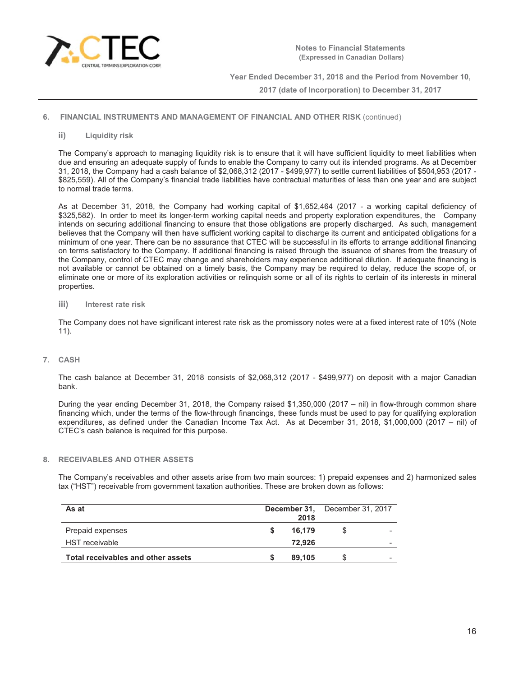

**2017 (date of Incorporation) to December 31, 2017**

### **6. FINANCIAL INSTRUMENTS AND MANAGEMENT OF FINANCIAL AND OTHER RISK** (continued)

### **ii) Liquidity risk**

The Company's approach to managing liquidity risk is to ensure that it will have sufficient liquidity to meet liabilities when due and ensuring an adequate supply of funds to enable the Company to carry out its intended programs. As at December 31, 2018, the Company had a cash balance of \$2,068,312 (2017 - \$499,977) to settle current liabilities of \$504,953 (2017 - \$825,559). All of the Company's financial trade liabilities have contractual maturities of less than one year and are subject to normal trade terms.

As at December 31, 2018, the Company had working capital of \$1,652,464 (2017 - a working capital deficiency of \$325,582). In order to meet its longer-term working capital needs and property exploration expenditures, the Company intends on securing additional financing to ensure that those obligations are properly discharged. As such, management believes that the Company will then have sufficient working capital to discharge its current and anticipated obligations for a minimum of one year. There can be no assurance that CTEC will be successful in its efforts to arrange additional financing on terms satisfactory to the Company. If additional financing is raised through the issuance of shares from the treasury of the Company, control of CTEC may change and shareholders may experience additional dilution. If adequate financing is not available or cannot be obtained on a timely basis, the Company may be required to delay, reduce the scope of, or eliminate one or more of its exploration activities or relinquish some or all of its rights to certain of its interests in mineral properties.

### **iii) Interest rate risk**

The Company does not have significant interest rate risk as the promissory notes were at a fixed interest rate of 10% (Note 11).

## **7. CASH**

The cash balance at December 31, 2018 consists of \$2,068,312 (2017 - \$499,977) on deposit with a major Canadian bank.

During the year ending December 31, 2018, the Company raised \$1,350,000 (2017 – nil) in flow-through common share financing which, under the terms of the flow-through financings, these funds must be used to pay for qualifying exploration expenditures, as defined under the Canadian Income Tax Act. As at December 31, 2018, \$1,000,000 (2017 – nil) of CTEC's cash balance is required for this purpose.

#### **8. RECEIVABLES AND OTHER ASSETS**

The Company's receivables and other assets arise from two main sources: 1) prepaid expenses and 2) harmonized sales tax ("HST") receivable from government taxation authorities. These are broken down as follows:

| As at                              | 2018   | December 31, December 31, 2017 |                          |
|------------------------------------|--------|--------------------------------|--------------------------|
| Prepaid expenses                   | 16.179 |                                |                          |
| <b>HST</b> receivable              | 72.926 |                                | $\overline{\phantom{a}}$ |
| Total receivables and other assets | 89.105 |                                | $\overline{\phantom{0}}$ |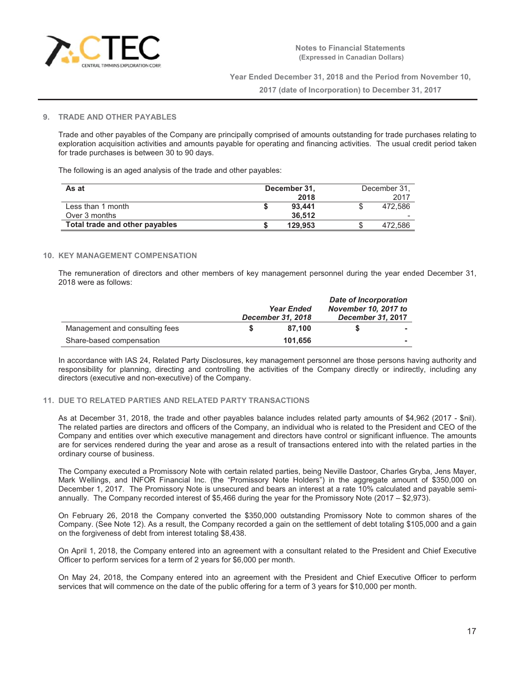

**2017 (date of Incorporation) to December 31, 2017**

#### **9. TRADE AND OTHER PAYABLES**

Trade and other payables of the Company are principally comprised of amounts outstanding for trade purchases relating to exploration acquisition activities and amounts payable for operating and financing activities. The usual credit period taken for trade purchases is between 30 to 90 days.

The following is an aged analysis of the trade and other payables:

| As at                          | December 31, | December 31.             |  |
|--------------------------------|--------------|--------------------------|--|
|                                | 2018         | 2017                     |  |
| Less than 1 month              | 93.441       | 472.586                  |  |
| Over 3 months                  | 36.512       | $\overline{\phantom{a}}$ |  |
| Total trade and other payables | 129.953      | 472.586                  |  |

### **10. KEY MANAGEMENT COMPENSATION**

The remuneration of directors and other members of key management personnel during the year ended December 31, 2018 were as follows:

|                                | <b>Year Ended</b><br>December 31, 2018 | Date of Incorporation<br>November 10, 2017 to<br><b>December 31, 2017</b> |  |
|--------------------------------|----------------------------------------|---------------------------------------------------------------------------|--|
| Management and consulting fees | 87.100                                 |                                                                           |  |
| Share-based compensation       | 101.656                                |                                                                           |  |

In accordance with IAS 24, Related Party Disclosures, key management personnel are those persons having authority and responsibility for planning, directing and controlling the activities of the Company directly or indirectly, including any directors (executive and non-executive) of the Company.

### **11. DUE TO RELATED PARTIES AND RELATED PARTY TRANSACTIONS**

As at December 31, 2018, the trade and other payables balance includes related party amounts of \$4,962 (2017 - \$nil). The related parties are directors and officers of the Company, an individual who is related to the President and CEO of the Company and entities over which executive management and directors have control or significant influence. The amounts are for services rendered during the year and arose as a result of transactions entered into with the related parties in the ordinary course of business.

The Company executed a Promissory Note with certain related parties, being Neville Dastoor, Charles Gryba, Jens Mayer, Mark Wellings, and INFOR Financial Inc. (the "Promissory Note Holders") in the aggregate amount of \$350,000 on December 1, 2017. The Promissory Note is unsecured and bears an interest at a rate 10% calculated and payable semiannually. The Company recorded interest of \$5,466 during the year for the Promissory Note (2017 – \$2,973).

On February 26, 2018 the Company converted the \$350,000 outstanding Promissory Note to common shares of the Company. (See Note 12). As a result, the Company recorded a gain on the settlement of debt totaling \$105,000 and a gain on the forgiveness of debt from interest totaling \$8,438.

On April 1, 2018, the Company entered into an agreement with a consultant related to the President and Chief Executive Officer to perform services for a term of 2 years for \$6,000 per month.

On May 24, 2018, the Company entered into an agreement with the President and Chief Executive Officer to perform services that will commence on the date of the public offering for a term of 3 years for \$10,000 per month.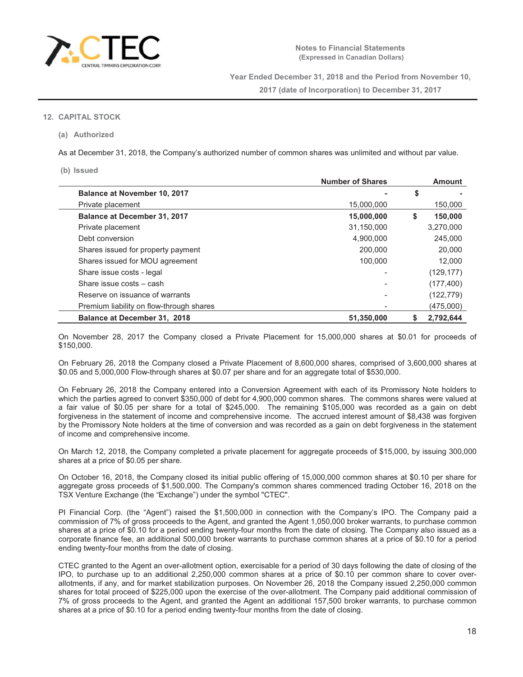

**2017 (date of Incorporation) to December 31, 2017**

## **12. CAPITAL STOCK**

## **(a) Authorized**

As at December 31, 2018, the Company's authorized number of common shares was unlimited and without par value.

 **(b) Issued** 

|                                          | <b>Number of Shares</b> |    | Amount     |
|------------------------------------------|-------------------------|----|------------|
| <b>Balance at November 10, 2017</b>      |                         | \$ |            |
| Private placement                        | 15,000,000              |    | 150,000    |
| <b>Balance at December 31, 2017</b>      | 15,000,000              | S  | 150,000    |
| Private placement                        | 31,150,000              |    | 3,270,000  |
| Debt conversion                          | 4.900.000               |    | 245.000    |
| Shares issued for property payment       | 200,000                 |    | 20,000     |
| Shares issued for MOU agreement          | 100.000                 |    | 12,000     |
| Share issue costs - legal                |                         |    | (129, 177) |
| Share issue costs - cash                 |                         |    | (177, 400) |
| Reserve on issuance of warrants          |                         |    | (122, 779) |
| Premium liability on flow-through shares |                         |    | (475,000)  |
| <b>Balance at December 31, 2018</b>      | 51.350.000              |    | 2.792.644  |

On November 28, 2017 the Company closed a Private Placement for 15,000,000 shares at \$0.01 for proceeds of \$150,000.

On February 26, 2018 the Company closed a Private Placement of 8,600,000 shares, comprised of 3,600,000 shares at \$0.05 and 5,000,000 Flow-through shares at \$0.07 per share and for an aggregate total of \$530,000.

On February 26, 2018 the Company entered into a Conversion Agreement with each of its Promissory Note holders to which the parties agreed to convert \$350,000 of debt for 4,900,000 common shares. The commons shares were valued at a fair value of \$0.05 per share for a total of \$245,000. The remaining \$105,000 was recorded as a gain on debt forgiveness in the statement of income and comprehensive income. The accrued interest amount of \$8,438 was forgiven by the Promissory Note holders at the time of conversion and was recorded as a gain on debt forgiveness in the statement of income and comprehensive income.

On March 12, 2018, the Company completed a private placement for aggregate proceeds of \$15,000, by issuing 300,000 shares at a price of \$0.05 per share.

On October 16, 2018, the Company closed its initial public offering of 15,000,000 common shares at \$0.10 per share for aggregate gross proceeds of \$1,500,000. The Company's common shares commenced trading October 16, 2018 on the TSX Venture Exchange (the "Exchange") under the symbol "CTEC".

PI Financial Corp. (the "Agent") raised the \$1,500,000 in connection with the Company's IPO. The Company paid a commission of 7% of gross proceeds to the Agent, and granted the Agent 1,050,000 broker warrants, to purchase common shares at a price of \$0.10 for a period ending twenty-four months from the date of closing. The Company also issued as a corporate finance fee, an additional 500,000 broker warrants to purchase common shares at a price of \$0.10 for a period ending twenty-four months from the date of closing.

CTEC granted to the Agent an over-allotment option, exercisable for a period of 30 days following the date of closing of the IPO, to purchase up to an additional 2,250,000 common shares at a price of \$0.10 per common share to cover overallotments, if any, and for market stabilization purposes. On November 26, 2018 the Company issued 2,250,000 common shares for total proceed of \$225,000 upon the exercise of the over-allotment. The Company paid additional commission of 7% of gross proceeds to the Agent, and granted the Agent an additional 157,500 broker warrants, to purchase common shares at a price of \$0.10 for a period ending twenty-four months from the date of closing.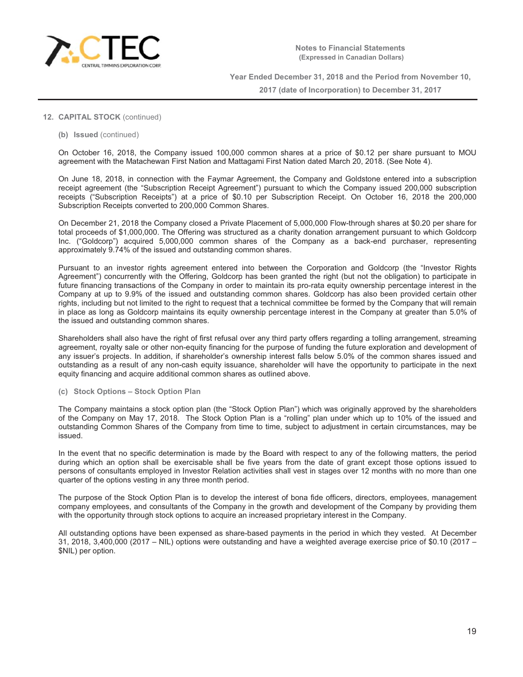

**2017 (date of Incorporation) to December 31, 2017**

### **12. CAPITAL STOCK** (continued)

**(b) Issued** (continued)

On October 16, 2018, the Company issued 100,000 common shares at a price of \$0.12 per share pursuant to MOU agreement with the Matachewan First Nation and Mattagami First Nation dated March 20, 2018. (See Note 4).

On June 18, 2018, in connection with the Faymar Agreement, the Company and Goldstone entered into a subscription receipt agreement (the "Subscription Receipt Agreement") pursuant to which the Company issued 200,000 subscription receipts ("Subscription Receipts") at a price of \$0.10 per Subscription Receipt. On October 16, 2018 the 200,000 Subscription Receipts converted to 200,000 Common Shares.

On December 21, 2018 the Company closed a Private Placement of 5,000,000 Flow-through shares at \$0.20 per share for total proceeds of \$1,000,000. The Offering was structured as a charity donation arrangement pursuant to which Goldcorp Inc. ("Goldcorp") acquired 5,000,000 common shares of the Company as a back-end purchaser, representing approximately 9.74% of the issued and outstanding common shares.

Pursuant to an investor rights agreement entered into between the Corporation and Goldcorp (the "Investor Rights Agreement") concurrently with the Offering, Goldcorp has been granted the right (but not the obligation) to participate in future financing transactions of the Company in order to maintain its pro-rata equity ownership percentage interest in the Company at up to 9.9% of the issued and outstanding common shares. Goldcorp has also been provided certain other rights, including but not limited to the right to request that a technical committee be formed by the Company that will remain in place as long as Goldcorp maintains its equity ownership percentage interest in the Company at greater than 5.0% of the issued and outstanding common shares.

Shareholders shall also have the right of first refusal over any third party offers regarding a tolling arrangement, streaming agreement, royalty sale or other non-equity financing for the purpose of funding the future exploration and development of any issuer's projects. In addition, if shareholder's ownership interest falls below 5.0% of the common shares issued and outstanding as a result of any non-cash equity issuance, shareholder will have the opportunity to participate in the next equity financing and acquire additional common shares as outlined above.

### **(c) Stock Options – Stock Option Plan**

The Company maintains a stock option plan (the "Stock Option Plan") which was originally approved by the shareholders of the Company on May 17, 2018. The Stock Option Plan is a "rolling" plan under which up to 10% of the issued and outstanding Common Shares of the Company from time to time, subject to adjustment in certain circumstances, may be issued.

In the event that no specific determination is made by the Board with respect to any of the following matters, the period during which an option shall be exercisable shall be five years from the date of grant except those options issued to persons of consultants employed in Investor Relation activities shall vest in stages over 12 months with no more than one quarter of the options vesting in any three month period.

The purpose of the Stock Option Plan is to develop the interest of bona fide officers, directors, employees, management company employees, and consultants of the Company in the growth and development of the Company by providing them with the opportunity through stock options to acquire an increased proprietary interest in the Company.

All outstanding options have been expensed as share-based payments in the period in which they vested. At December 31, 2018, 3,400,000 (2017 – NIL) options were outstanding and have a weighted average exercise price of \$0.10 (2017 – \$NIL) per option.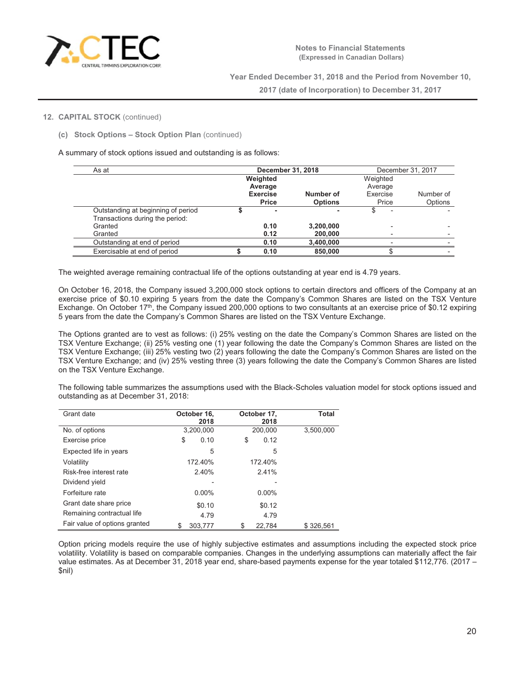

**2017 (date of Incorporation) to December 31, 2017**

## **12. CAPITAL STOCK** (continued)

**(c) Stock Options – Stock Option Plan** (continued)

A summary of stock options issued and outstanding is as follows:

| As at                              | December 31, 2018 |                |          | December 31, 2017 |
|------------------------------------|-------------------|----------------|----------|-------------------|
|                                    | Weighted          |                | Weighted |                   |
|                                    | Average           |                | Average  |                   |
|                                    | <b>Exercise</b>   | Number of      | Exercise | Number of         |
|                                    | <b>Price</b>      | <b>Options</b> | Price    | Options           |
| Outstanding at beginning of period |                   |                | ٠        |                   |
| Transactions during the period:    |                   |                |          |                   |
| Granted                            | 0.10              | 3,200,000      |          |                   |
| Granted                            | 0.12              | 200,000        |          |                   |
| Outstanding at end of period       | 0.10              | 3,400,000      |          |                   |
| Exercisable at end of period       | 0.10              | 850,000        |          |                   |

The weighted average remaining contractual life of the options outstanding at year end is 4.79 years.

On October 16, 2018, the Company issued 3,200,000 stock options to certain directors and officers of the Company at an exercise price of \$0.10 expiring 5 years from the date the Company's Common Shares are listed on the TSX Venture Exchange. On October 17<sup>th</sup>, the Company issued 200,000 options to two consultants at an exercise price of \$0.12 expiring 5 years from the date the Company's Common Shares are listed on the TSX Venture Exchange.

The Options granted are to vest as follows: (i) 25% vesting on the date the Company's Common Shares are listed on the TSX Venture Exchange; (ii) 25% vesting one (1) year following the date the Company's Common Shares are listed on the TSX Venture Exchange; (iii) 25% vesting two (2) years following the date the Company's Common Shares are listed on the TSX Venture Exchange; and (iv) 25% vesting three (3) years following the date the Company's Common Shares are listed on the TSX Venture Exchange.

The following table summarizes the assumptions used with the Black-Scholes valuation model for stock options issued and outstanding as at December 31, 2018:

| Grant date                    | October 16.<br>2018 | October 17.<br>2018 | Total     |
|-------------------------------|---------------------|---------------------|-----------|
| No. of options                | 3,200,000           | 200,000             | 3,500,000 |
| Exercise price                | \$<br>0.10          | \$<br>0.12          |           |
| Expected life in years        | 5                   | 5                   |           |
| Volatility                    | 172.40%             | 172.40%             |           |
| Risk-free interest rate       | 2.40%               | 2.41%               |           |
| Dividend yield                |                     |                     |           |
| Forfeiture rate               | $0.00\%$            | $0.00\%$            |           |
| Grant date share price        | \$0.10              | \$0.12              |           |
| Remaining contractual life    | 4.79                | 4.79                |           |
| Fair value of options granted | \$<br>303.777       | 22.784<br>\$        | \$326.561 |

Option pricing models require the use of highly subjective estimates and assumptions including the expected stock price volatility. Volatility is based on comparable companies. Changes in the underlying assumptions can materially affect the fair value estimates. As at December 31, 2018 year end, share-based payments expense for the year totaled \$112,776. (2017 – \$nil)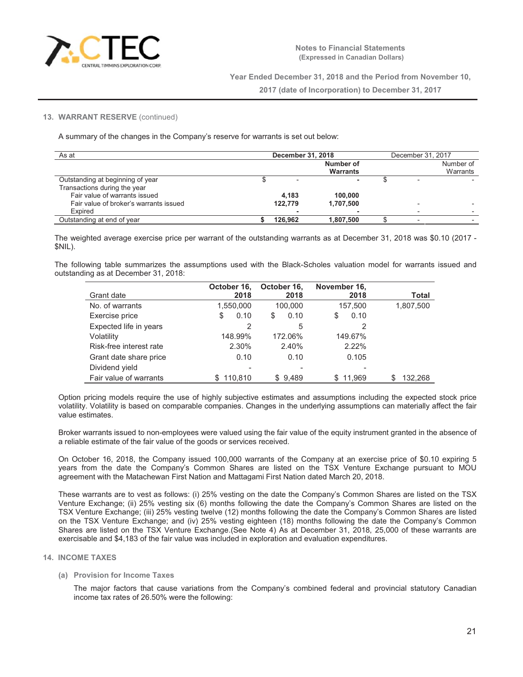

**2017 (date of Incorporation) to December 31, 2017**

## **13. WARRANT RESERVE** (continued)

A summary of the changes in the Company's reserve for warrants is set out below:

| As at                                  | December 31, 2018 |         |                 | December 31, 2017 |  |           |
|----------------------------------------|-------------------|---------|-----------------|-------------------|--|-----------|
|                                        |                   |         | Number of       |                   |  | Number of |
|                                        |                   |         | <b>Warrants</b> |                   |  | Warrants  |
| Outstanding at beginning of year       |                   |         | ۰               |                   |  |           |
| Transactions during the year           |                   |         |                 |                   |  |           |
| Fair value of warrants issued          |                   | 4.183   | 100.000         |                   |  |           |
| Fair value of broker's warrants issued |                   | 122.779 | 1.707.500       |                   |  |           |
| Expired                                |                   |         |                 |                   |  |           |
| Outstanding at end of year             |                   | 126.962 | 1,807,500       |                   |  |           |

The weighted average exercise price per warrant of the outstanding warrants as at December 31, 2018 was \$0.10 (2017 - \$NIL).

The following table summarizes the assumptions used with the Black-Scholes valuation model for warrants issued and outstanding as at December 31, 2018:

|                         | October 16,    | October 16. | November 16,  |           |
|-------------------------|----------------|-------------|---------------|-----------|
| Grant date              | 2018           | 2018        | 2018          | Total     |
| No. of warrants         | 1,550,000      | 100,000     | 157,500       | 1,807,500 |
| Exercise price          | 0.10<br>\$     | 0.10<br>\$  | 0.10<br>\$    |           |
| Expected life in years  | 2              | 5           | 2             |           |
| Volatility              | 148.99%        | 172.06%     | 149.67%       |           |
| Risk-free interest rate | 2.30%          | 2.40%       | 2.22%         |           |
| Grant date share price  | 0.10           | 0.10        | 0.105         |           |
| Dividend yield          |                |             |               |           |
| Fair value of warrants  | 110,810<br>\$. | \$9,489     | 11.969<br>\$. | 132.268   |

Option pricing models require the use of highly subjective estimates and assumptions including the expected stock price volatility. Volatility is based on comparable companies. Changes in the underlying assumptions can materially affect the fair value estimates.

Broker warrants issued to non-employees were valued using the fair value of the equity instrument granted in the absence of a reliable estimate of the fair value of the goods or services received.

On October 16, 2018, the Company issued 100,000 warrants of the Company at an exercise price of \$0.10 expiring 5 years from the date the Company's Common Shares are listed on the TSX Venture Exchange pursuant to MOU agreement with the Matachewan First Nation and Mattagami First Nation dated March 20, 2018.

These warrants are to vest as follows: (i) 25% vesting on the date the Company's Common Shares are listed on the TSX Venture Exchange; (ii) 25% vesting six (6) months following the date the Company's Common Shares are listed on the TSX Venture Exchange; (iii) 25% vesting twelve (12) months following the date the Company's Common Shares are listed on the TSX Venture Exchange; and (iv) 25% vesting eighteen (18) months following the date the Company's Common Shares are listed on the TSX Venture Exchange.(See Note 4) As at December 31, 2018, 25,000 of these warrants are exercisable and \$4,183 of the fair value was included in exploration and evaluation expenditures.

## **14. INCOME TAXES**

#### **(a) Provision for Income Taxes**

The major factors that cause variations from the Company's combined federal and provincial statutory Canadian income tax rates of 26.50% were the following: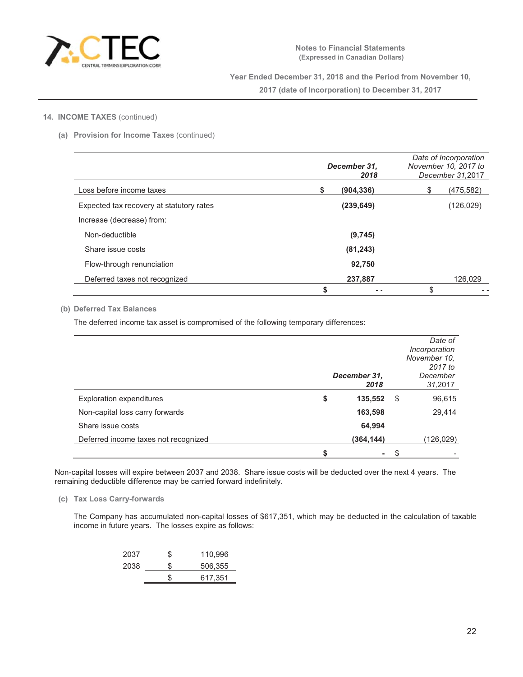

**2017 (date of Incorporation) to December 31, 2017**

## **14. INCOME TAXES** (continued)

## **(a) Provision for Income Taxes** (continued)

|                                          | December 31.<br>2018 | Date of Incorporation<br>November 10, 2017 to<br>December 31,2017 |
|------------------------------------------|----------------------|-------------------------------------------------------------------|
| Loss before income taxes                 | S<br>(904, 336)      | \$<br>(475,582)                                                   |
| Expected tax recovery at statutory rates | (239, 649)           | (126,029)                                                         |
| Increase (decrease) from:                |                      |                                                                   |
| Non-deductible                           | (9,745)              |                                                                   |
| Share issue costs                        | (81, 243)            |                                                                   |
| Flow-through renunciation                | 92,750               |                                                                   |
| Deferred taxes not recognized            | 237,887              | 126,029                                                           |
|                                          | $\sim$ $\sim$        |                                                                   |

## **(b) Deferred Tax Balances**

The deferred income tax asset is compromised of the following temporary differences:

|                                      | December 31.<br>2018 |    | Date of<br>Incorporation<br>November 10.<br>2017 to<br>December<br>31,2017 |
|--------------------------------------|----------------------|----|----------------------------------------------------------------------------|
| <b>Exploration expenditures</b>      | \$<br>135,552        | \$ | 96,615                                                                     |
| Non-capital loss carry forwards      | 163,598              |    | 29,414                                                                     |
| Share issue costs                    | 64,994               |    |                                                                            |
| Deferred income taxes not recognized | (364, 144)           |    | (126,029)                                                                  |
|                                      | \$<br>۰              | Φ  |                                                                            |

Non-capital losses will expire between 2037 and 2038. Share issue costs will be deducted over the next 4 years. The remaining deductible difference may be carried forward indefinitely.

**(c) Tax Loss Carry-forwards** 

The Company has accumulated non-capital losses of \$617,351, which may be deducted in the calculation of taxable income in future years. The losses expire as follows:

| 2037 | \$ | 110.996 |
|------|----|---------|
| 2038 | S  | 506,355 |
|      | \$ | 617,351 |